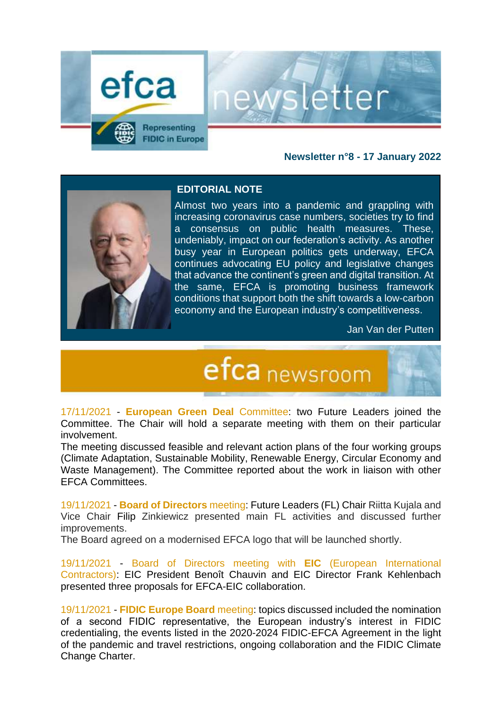

### **Newsletter n°8 - 17 January 2022**

etter



#### **EDITORIAL NOTE**

Almost two years into a pandemic and grappling with increasing coronavirus case numbers, societies try to find a consensus on public health measures. These, undeniably, impact on our federation's activity. As another busy year in European politics gets underway, EFCA continues advocating EU policy and legislative changes that advance the continent's green and digital transition. At the same, EFCA is promoting business framework conditions that support both the shift towards a low-carbon economy and the European industry's competitiveness.

Jan Van der Putten

# efca newsroom

17/11/2021 - **European Green Deal** Committee: two Future Leaders joined the Committee. The Chair will hold a separate meeting with them on their particular involvement.

The meeting discussed feasible and relevant action plans of the four working groups (Climate Adaptation, Sustainable Mobility, Renewable Energy, Circular Economy and Waste Management). The Committee reported about the work in liaison with other EFCA Committees.

19/11/2021 - **Board of Directors** meeting: Future Leaders (FL) Chair Riitta Kujala and Vice Chair Filip Zinkiewicz presented main FL activities and discussed further improvements.

The Board agreed on a modernised EFCA logo that will be launched shortly.

19/11/2021 - Board of Directors meeting with **EIC** (European International Contractors): EIC President Benoît Chauvin and EIC Director Frank Kehlenbach presented three proposals for EFCA-EIC collaboration.

19/11/2021 - **FIDIC Europe Board** meeting: topics discussed included the nomination of a second FIDIC representative, the European industry's interest in FIDIC credentialing, the events listed in the 2020-2024 FIDIC-EFCA Agreement in the light of the pandemic and travel restrictions, ongoing collaboration and the FIDIC Climate Change Charter.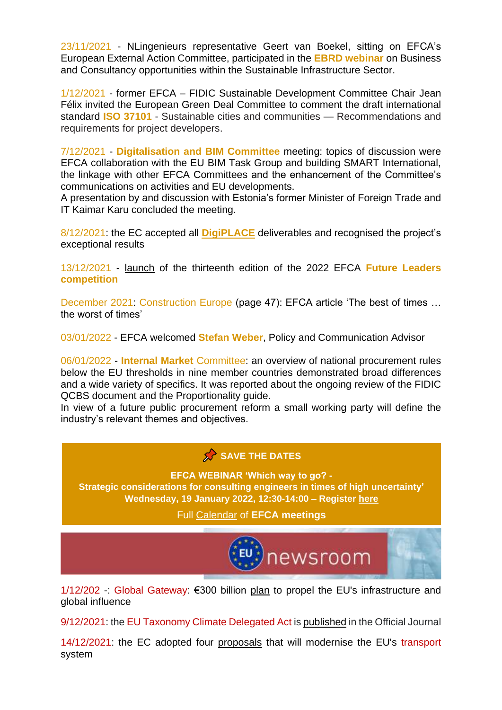23/11/2021 - NLingenieurs representative Geert van Boekel, sitting on EFCA's European External Action Committee, participated in the **EBRD webinar** on Business and Consultancy opportunities within the Sustainable Infrastructure Sector.

1/12/2021 - former EFCA – FIDIC Sustainable Development Committee Chair Jean Félix invited the European Green Deal Committee to comment the draft international standard **ISO 37101** - Sustainable cities and communities — Recommendations and requirements for project developers.

7/12/2021 - **Digitalisation and BIM Committee** meeting: topics of discussion were EFCA collaboration with the EU BIM Task Group and building SMART International, the linkage with other EFCA Committees and the enhancement of the Committee's communications on activities and EU developments.

A presentation by and discussion with Estonia's former Minister of Foreign Trade and IT Kaimar Karu concluded the meeting.

8/12/2021: the EC accepted all **[DigiPLACE](https://digiplaceproject.eu/)** deliverables and recognised the project's exceptional results

13/12/2021 - [launch](https://www.efcanet.org/news/announcement-efca-future-leaders-competition-2022) of the thirteenth edition of the 2022 EFCA **Future Leaders competition**

December 2021: Construction Europe (page 47): EFCA article 'The best of times … the worst of times'

03/01/2022 - EFCA welcomed **Stefan Weber**, Policy and Communication Advisor

06/01/2022 - **Internal Market** Committee: an overview of national procurement rules below the EU thresholds in nine member countries demonstrated broad differences and a wide variety of specifics. It was reported about the ongoing review of the FIDIC QCBS document and the Proportionality guide.

In view of a future public procurement reform a small working party will define the industry's relevant themes and objectives.

### SAVE THE DATES

**EFCA WEBINAR 'Which way to go? - Strategic considerations for consulting engineers in times of high uncertainty' Wednesday, 19 January 2022, 12:30-14:00 – Register [here](https://www.efcanet.org/calendar/future-trends-webinar-registration-open-2022-01-19)**

Full [Calendar](https://www.efca.be/calendar) of **EFCA meetings**



1/12/202 -: Global Gateway: €300 billion [plan](https://ec.europa.eu/info/strategy/priorities-2019-2024/stronger-europe-world/global-gateway_en) to propel the EU's infrastructure and global influence

9/12/2021: the EU Taxonomy Climate Delegated Act i[s published](https://eur-lex.europa.eu/legal-content/EN/TXT/?uri=OJ:L:2021:442:TOC) in the Official Journal

14/12/2021: the EC adopted four [proposals](https://ec.europa.eu/commission/presscorner/detail/en/ip_21_6776) that will modernise the EU's transport system